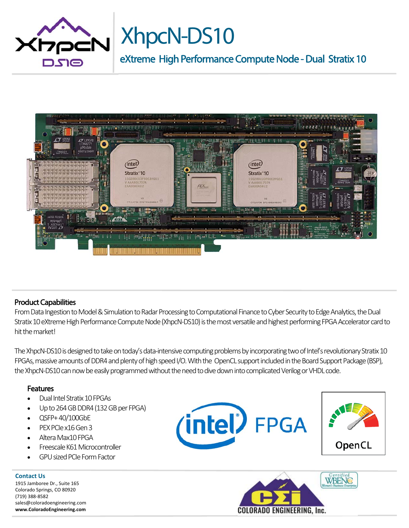

# XhpcN-DS10

eXtreme High Performance Compute Node - Dual Stratix 10



## Product Capabilities

From Data Ingestion to Model & Simulation to Radar Processing to Computational Finance to Cyber Security to Edge Analytics, the Dual Stratix 10 eXtreme High Performance Compute Node (XhpcN‐DS10) is the most versatile and highest performing FPGA Accelerator card to hit the market!

The XhpcN-DS10 is designed to take on today's data-intensive computing problems by incorporating two of Intel's revolutionary Stratix 10 FPGAs, massive amounts of DDR4 and plenty of high speed I/O. With the OpenCL support included in the Board Support Package (BSP), the XhpcN‐DS10 can now be easily programmed without the need to dive down into complicated Verilog or VHDL code.

## **Features**

- Dual Intel Stratix 10 FPGAs
- Up to 264 GB DDR4 (132 GB per FPGA)
- QSFP+ 40/100GbE
- PEX PCIe x16 Gen 3
- Altera Max10 FPGA
- Freescale K61 Microcontroller
- GPU sized PCIe Form Factor

**Contact Us**  1915 Jamboree Dr., Suite 165 Colorado Springs, CO 80920 (719) 388‐8582 sales@coloradoengineering.com **www.ColoradoEngineering.com**